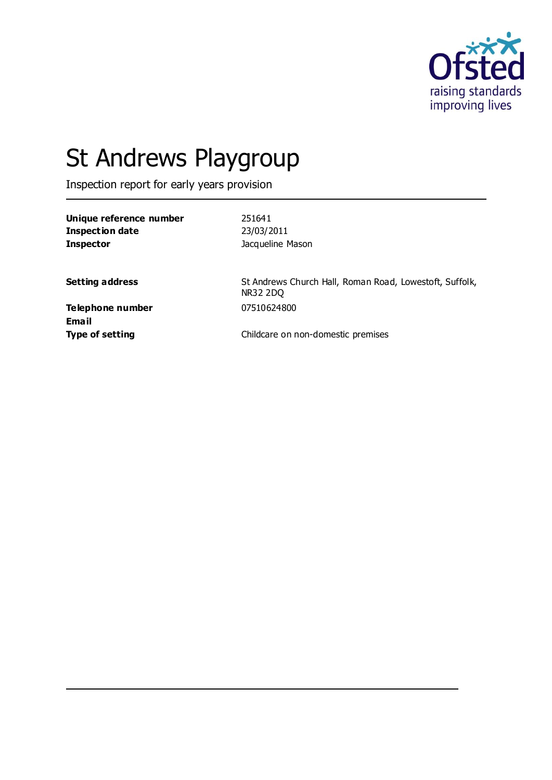

# St Andrews Playgroup

Inspection report for early years provision

| Unique reference number | 251641           |
|-------------------------|------------------|
| Inspection date         | 23/03/2011       |
| <b>Inspector</b>        | Jacqueline Mason |

**Setting address** St Andrews Church Hall, Roman Road, Lowestoft, Suffolk, NR32 2DQ

**Telephone number** 07510624800 **Email**

**Type of setting** Type of setting **Childcare on non-domestic premises**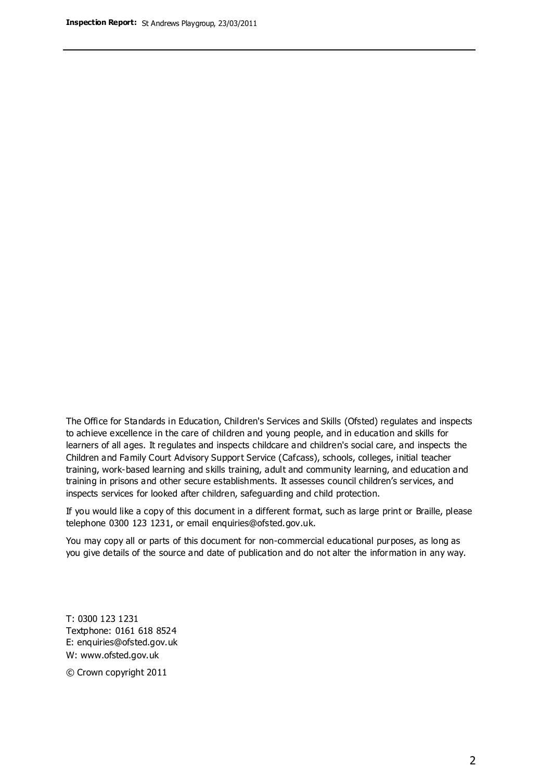The Office for Standards in Education, Children's Services and Skills (Ofsted) regulates and inspects to achieve excellence in the care of children and young people, and in education and skills for learners of all ages. It regulates and inspects childcare and children's social care, and inspects the Children and Family Court Advisory Support Service (Cafcass), schools, colleges, initial teacher training, work-based learning and skills training, adult and community learning, and education and training in prisons and other secure establishments. It assesses council children's services, and inspects services for looked after children, safeguarding and child protection.

If you would like a copy of this document in a different format, such as large print or Braille, please telephone 0300 123 1231, or email enquiries@ofsted.gov.uk.

You may copy all or parts of this document for non-commercial educational purposes, as long as you give details of the source and date of publication and do not alter the information in any way.

T: 0300 123 1231 Textphone: 0161 618 8524 E: enquiries@ofsted.gov.uk W: [www.ofsted.gov.uk](http://www.ofsted.gov.uk/)

© Crown copyright 2011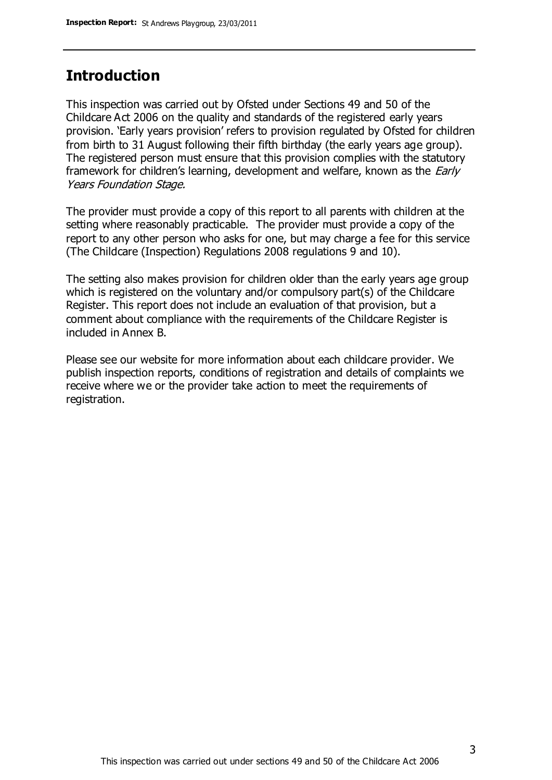### **Introduction**

This inspection was carried out by Ofsted under Sections 49 and 50 of the Childcare Act 2006 on the quality and standards of the registered early years provision. 'Early years provision' refers to provision regulated by Ofsted for children from birth to 31 August following their fifth birthday (the early years age group). The registered person must ensure that this provision complies with the statutory framework for children's learning, development and welfare, known as the *Early* Years Foundation Stage.

The provider must provide a copy of this report to all parents with children at the setting where reasonably practicable. The provider must provide a copy of the report to any other person who asks for one, but may charge a fee for this service (The Childcare (Inspection) Regulations 2008 regulations 9 and 10).

The setting also makes provision for children older than the early years age group which is registered on the voluntary and/or compulsory part(s) of the Childcare Register. This report does not include an evaluation of that provision, but a comment about compliance with the requirements of the Childcare Register is included in Annex B.

Please see our website for more information about each childcare provider. We publish inspection reports, conditions of registration and details of complaints we receive where we or the provider take action to meet the requirements of registration.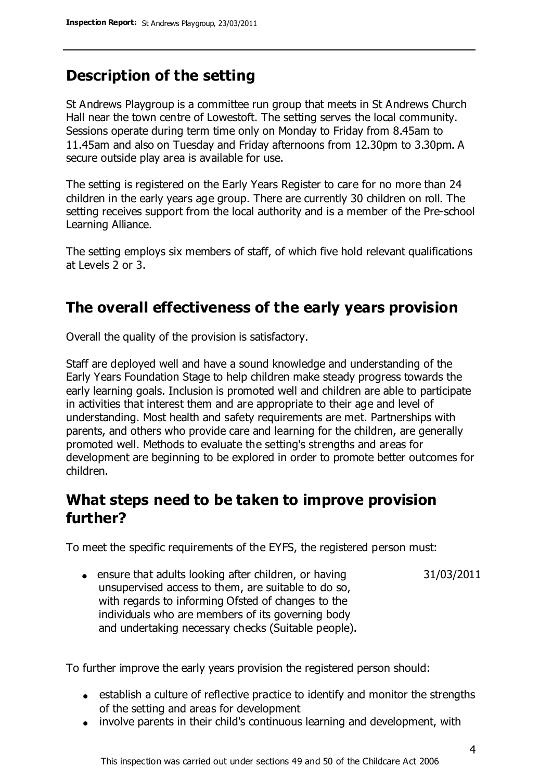### **Description of the setting**

St Andrews Playgroup is a committee run group that meets in St Andrews Church Hall near the town centre of Lowestoft. The setting serves the local community. Sessions operate during term time only on Monday to Friday from 8.45am to 11.45am and also on Tuesday and Friday afternoons from 12.30pm to 3.30pm. A secure outside play area is available for use.

The setting is registered on the Early Years Register to care for no more than 24 children in the early years age group. There are currently 30 children on roll. The setting receives support from the local authority and is a member of the Pre-school Learning Alliance.

The setting employs six members of staff, of which five hold relevant qualifications at Levels 2 or 3.

### **The overall effectiveness of the early years provision**

Overall the quality of the provision is satisfactory.

Staff are deployed well and have a sound knowledge and understanding of the Early Years Foundation Stage to help children make steady progress towards the early learning goals. Inclusion is promoted well and children are able to participate in activities that interest them and are appropriate to their age and level of understanding. Most health and safety requirements are met. Partnerships with parents, and others who provide care and learning for the children, are generally promoted well. Methods to evaluate the setting's strengths and areas for development are beginning to be explored in order to promote better outcomes for children.

### **What steps need to be taken to improve provision further?**

To meet the specific requirements of the EYFS, the registered person must:

• ensure that adults looking after children, or having unsupervised access to them, are suitable to do so, with regards to informing Ofsted of changes to the individuals who are members of its governing body and undertaking necessary checks (Suitable people). 31/03/2011

To further improve the early years provision the registered person should:

- establish a culture of reflective practice to identify and monitor the strengths of the setting and areas for development
- involve parents in their child's continuous learning and development, with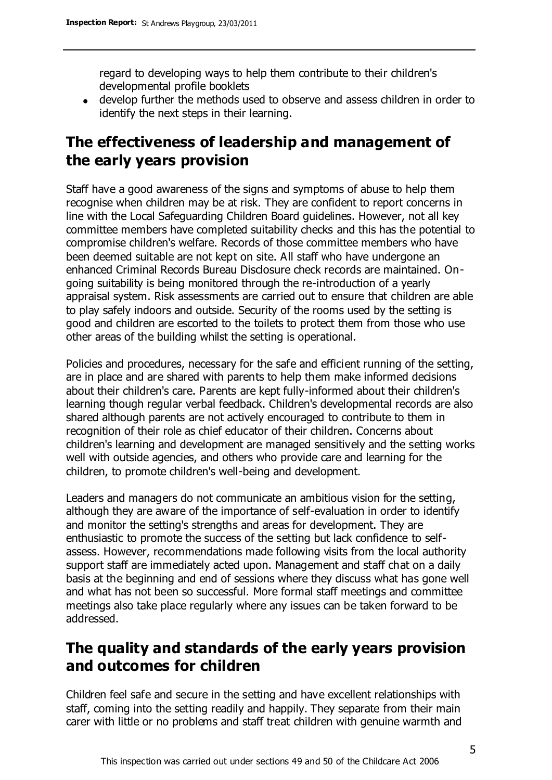regard to developing ways to help them contribute to their children's developmental profile booklets

develop further the methods used to observe and assess children in order to identify the next steps in their learning.

# **The effectiveness of leadership and management of the early years provision**

Staff have a good awareness of the signs and symptoms of abuse to help them recognise when children may be at risk. They are confident to report concerns in line with the Local Safeguarding Children Board guidelines. However, not all key committee members have completed suitability checks and this has the potential to compromise children's welfare. Records of those committee members who have been deemed suitable are not kept on site. All staff who have undergone an enhanced Criminal Records Bureau Disclosure check records are maintained. Ongoing suitability is being monitored through the re-introduction of a yearly appraisal system. Risk assessments are carried out to ensure that children are able to play safely indoors and outside. Security of the rooms used by the setting is good and children are escorted to the toilets to protect them from those who use other areas of the building whilst the setting is operational.

Policies and procedures, necessary for the safe and efficient running of the setting, are in place and are shared with parents to help them make informed decisions about their children's care. Parents are kept fully-informed about their children's learning though regular verbal feedback. Children's developmental records are also shared although parents are not actively encouraged to contribute to them in recognition of their role as chief educator of their children. Concerns about children's learning and development are managed sensitively and the setting works well with outside agencies, and others who provide care and learning for the children, to promote children's well-being and development.

Leaders and managers do not communicate an ambitious vision for the setting, although they are aware of the importance of self-evaluation in order to identify and monitor the setting's strengths and areas for development. They are enthusiastic to promote the success of the setting but lack confidence to selfassess. However, recommendations made following visits from the local authority support staff are immediately acted upon. Management and staff chat on a daily basis at the beginning and end of sessions where they discuss what has gone well and what has not been so successful. More formal staff meetings and committee meetings also take place regularly where any issues can be taken forward to be addressed.

## **The quality and standards of the early years provision and outcomes for children**

Children feel safe and secure in the setting and have excellent relationships with staff, coming into the setting readily and happily. They separate from their main carer with little or no problems and staff treat children with genuine warmth and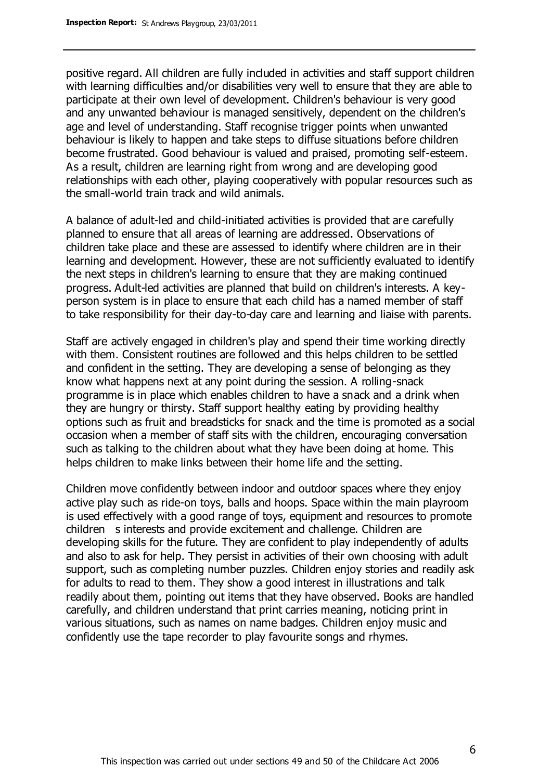positive regard. All children are fully included in activities and staff support children with learning difficulties and/or disabilities very well to ensure that they are able to participate at their own level of development. Children's behaviour is very good and any unwanted behaviour is managed sensitively, dependent on the children's age and level of understanding. Staff recognise trigger points when unwanted behaviour is likely to happen and take steps to diffuse situations before children become frustrated. Good behaviour is valued and praised, promoting self-esteem. As a result, children are learning right from wrong and are developing good relationships with each other, playing cooperatively with popular resources such as the small-world train track and wild animals.

A balance of adult-led and child-initiated activities is provided that are carefully planned to ensure that all areas of learning are addressed. Observations of children take place and these are assessed to identify where children are in their learning and development. However, these are not sufficiently evaluated to identify the next steps in children's learning to ensure that they are making continued progress. Adult-led activities are planned that build on children's interests. A keyperson system is in place to ensure that each child has a named member of staff to take responsibility for their day-to-day care and learning and liaise with parents.

Staff are actively engaged in children's play and spend their time working directly with them. Consistent routines are followed and this helps children to be settled and confident in the setting. They are developing a sense of belonging as they know what happens next at any point during the session. A rolling-snack programme is in place which enables children to have a snack and a drink when they are hungry or thirsty. Staff support healthy eating by providing healthy options such as fruit and breadsticks for snack and the time is promoted as a social occasion when a member of staff sits with the children, encouraging conversation such as talking to the children about what they have been doing at home. This helps children to make links between their home life and the setting.

Children move confidently between indoor and outdoor spaces where they enjoy active play such as ride-on toys, balls and hoops. Space within the main playroom is used effectively with a good range of toys, equipment and resources to promote children s interests and provide excitement and challenge. Children are developing skills for the future. They are confident to play independently of adults and also to ask for help. They persist in activities of their own choosing with adult support, such as completing number puzzles. Children enjoy stories and readily ask for adults to read to them. They show a good interest in illustrations and talk readily about them, pointing out items that they have observed. Books are handled carefully, and children understand that print carries meaning, noticing print in various situations, such as names on name badges. Children enjoy music and confidently use the tape recorder to play favourite songs and rhymes.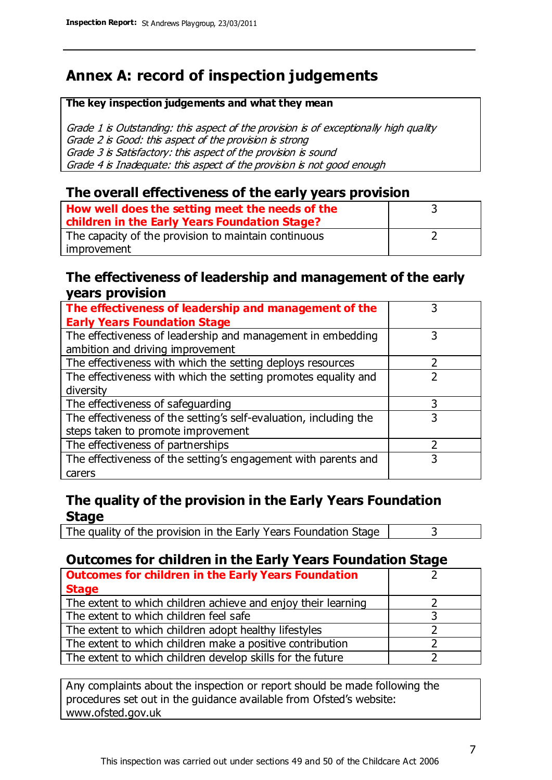# **Annex A: record of inspection judgements**

#### **The key inspection judgements and what they mean**

Grade 1 is Outstanding: this aspect of the provision is of exceptionally high quality Grade 2 is Good: this aspect of the provision is strong Grade 3 is Satisfactory: this aspect of the provision is sound Grade 4 is Inadequate: this aspect of the provision is not good enough

#### **The overall effectiveness of the early years provision**

| How well does the setting meet the needs of the<br>children in the Early Years Foundation Stage? |  |
|--------------------------------------------------------------------------------------------------|--|
| The capacity of the provision to maintain continuous                                             |  |
| improvement                                                                                      |  |

#### **The effectiveness of leadership and management of the early years provision**

| The effectiveness of leadership and management of the             |   |
|-------------------------------------------------------------------|---|
| <b>Early Years Foundation Stage</b>                               |   |
| The effectiveness of leadership and management in embedding       |   |
| ambition and driving improvement                                  |   |
| The effectiveness with which the setting deploys resources        |   |
| The effectiveness with which the setting promotes equality and    |   |
| diversity                                                         |   |
| The effectiveness of safeguarding                                 |   |
| The effectiveness of the setting's self-evaluation, including the | 3 |
| steps taken to promote improvement                                |   |
| The effectiveness of partnerships                                 |   |
| The effectiveness of the setting's engagement with parents and    |   |
| carers                                                            |   |

### **The quality of the provision in the Early Years Foundation Stage**

The quality of the provision in the Early Years Foundation Stage  $\vert$  3

### **Outcomes for children in the Early Years Foundation Stage**

| <b>Outcomes for children in the Early Years Foundation</b>    |  |
|---------------------------------------------------------------|--|
| <b>Stage</b>                                                  |  |
| The extent to which children achieve and enjoy their learning |  |
| The extent to which children feel safe                        |  |
| The extent to which children adopt healthy lifestyles         |  |
| The extent to which children make a positive contribution     |  |
| The extent to which children develop skills for the future    |  |

Any complaints about the inspection or report should be made following the procedures set out in the guidance available from Ofsted's website: www.ofsted.gov.uk